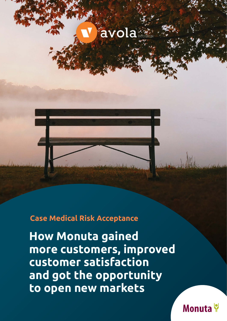



#### **Case Medical Risk Acceptance**

**How Monuta gained more customers, improved customer satisfaction and got the opportunity to open new markets** 

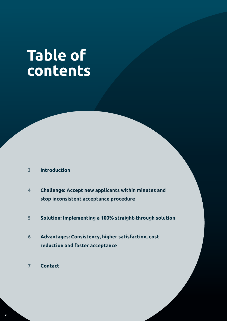# **Table of contents**

- **3 Introduction**
- **Challenge: Accept new applicants within minutes and stop inconsistent acceptance procedure 4**
- **5 Solution: Implementing a 100% straight-through solution**
- **Advantages: Consistency, higher satisfaction, cost reduction and faster acceptance 6**
- **7 Contact**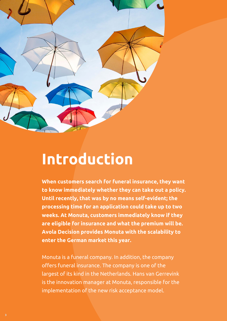

## **Introduction**

**When customers search for funeral insurance, they want to know immediately whether they can take out a policy. Until recently, that was by no means self-evident; the processing time for an application could take up to two weeks. At Monuta, customers immediately know if they are eligible for insurance and what the premium will be. Avola Decision provides Monuta with the scalability to enter the German market this year.** 

Monuta is a funeral company. In addition, the company offers funeral insurance. The company is one of the largest of its kind in the Netherlands. Hans van Gerrevink is the innovation manager at Monuta, responsible for the implementation of the new risk acceptance model.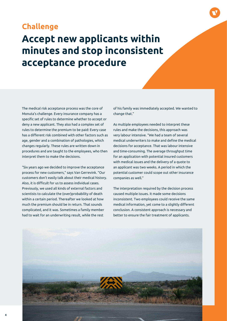#### **Challenge**

### **Accept new applicants within minutes and stop inconsistent acceptance procedure**

The medical risk acceptance process was the core of Monuta's challenge. Every insurance company has a specific set of rules to determine whether to accept or deny a new applicant. They also had a complex set of rules to determine the premium to be paid: Every case has a different risk combined with other factors such as age, gender and a combination of pathologies, which changes regularly. These rules are written down in procedures and are taught to the employees, who then interpret them to make the decisions.

"Six years ago we decided to improve the acceptance process for new customers," says Van Gerrevink. "Our customers don't easily talk about their medical history. Also, it is difficult for us to assess individual cases. Previously, we used all kinds of external factors and scientists to calculate the (over)probability of death within a certain period. Thereafter we looked at how much the premium should be in return. That sounds complicated, and it was. Sometimes a family member had to wait for an underwriting result, while the rest

of his family was immediately accepted. We wanted to change that."

As multiple employees needed to interpret these rules and make the decisions, this approach was very labour intensive. "We had a team of several medical underwriters to make and define the medical decisions for acceptance. That was labour intensive and time-consuming. The average throughput time for an application with potential insured customers with medical issues and the delivery of a quote to an applicant was two weeks. A period in which the potential customer could scope out other insurance companies as well."

The interpretation required by the decision process caused multiple issues. It made some decisions inconsistent. Two employees could receive the same medical information, yet come to a slightly different conclusion. A consistent approach is necessary and better to ensure the fair treatment of applicants.

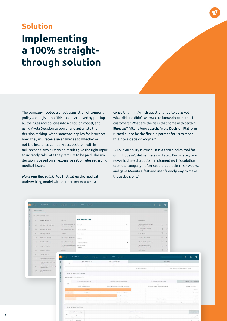## **Implementing a 100% straightthrough solution Solution**

The company needed a direct translation of company policy and legislation. This can be achieved by putting all the rules and policies into a decision model, and using Avola Decision to power and automate the decision making. When someone applies for insurance now, they will receive an answer as to whether or not the insurance company accepts them within milliseconds. Avola Decision results give the right input to instantly calculate the premium to be paid. The riskdecision is based on an extensive set of rules regarding medical issues.

*Hans van Gerrevink:* "We first set up the medical underwriting model with our partner Acumen, a

consulting firm. Which questions had to be asked, what did and didn't we want to know about potential customers? What are the risks that come with certain illnesses? After a long search, Avola Decision Platform turned out to be the flexible partner for us to model this into a decision engine."

"24/7 availability is crucial. It is a critical sales tool for us. If it doesn't deliver, sales will stall. Fortunately, we never had any disruption. Implementing this solution took the company – after solid preparation – six weeks, and gave Monuta a fast and user-friendly way to make these decisions."

| avola                           |               | DASHBOARD<br><b>DOMAINS</b>                          |                                                         | PROJECT                                                   | <b>DECISIONS</b>            | <b>TEST</b>                                                                                | <b>INSIGHTS</b> |                     |                                                               | search                 |                                                         | $\bullet$ | $\Omega$                                                        | $\boldsymbol{\Theta}$      |                                |                           |  |
|---------------------------------|---------------|------------------------------------------------------|---------------------------------------------------------|-----------------------------------------------------------|-----------------------------|--------------------------------------------------------------------------------------------|-----------------|---------------------|---------------------------------------------------------------|------------------------|---------------------------------------------------------|-----------|-----------------------------------------------------------------|----------------------------|--------------------------------|---------------------------|--|
| $\odot$<br><b>BUSINESS DATA</b> |               |                                                      |                                                         |                                                           |                             |                                                                                            |                 |                     |                                                               |                        |                                                         | BUSINESS! |                                                                 |                            |                                |                           |  |
| TRAVEL                          |               | F Enter a value to filter                            |                                                         |                                                           |                             |                                                                                            |                 |                     |                                                               |                        |                                                         |           |                                                                 |                            |                                |                           |  |
|                                 | 1d            | Business data name +                                 | Data type                                               |                                                           |                             | <b>New Business data</b>                                                                   |                 |                     |                                                               |                        | Data type info                                          |           |                                                                 |                            |                                |                           |  |
| CLAIM AUTOMATION                | 23            | Business trip coverage option                        | Pair - Business trip coverage<br>business trip coverage |                                                           |                             | Name*                                                                                      |                 |                     | $\begin{array}{c} \square \end{array}$                        |                        | { Business trip coverage, No<br>business trip coverage} |           |                                                                 | $\overline{\phantom{a}}$   |                                |                           |  |
|                                 | .50           | Cash coverage option                                 |                                                         | Pair - Cash covered / Cash n                              |                             | Technical value                                                                            |                 |                     |                                                               |                        | ( Cash covered, Cash not<br>covered)                    |           |                                                                 |                            |                                |                           |  |
|                                 | 47            | Claim object amount                                  |                                                         | Currency                                                  |                             | Description                                                                                |                 |                     |                                                               |                        | (EUR. dec. 2)                                           |           | $\odot$                                                         |                            |                                |                           |  |
|                                 | AR            | Claim Object Coverage                                | Patr - Covered / Not covered                            |                                                           |                             | Question                                                                                   |                 |                     |                                                               | (Covered, Not covered) |                                                         |           | $\odot$                                                         |                            |                                |                           |  |
|                                 | 46            | Claimobject category                                 | List - List of categories                               |                                                           |                             | Business concept *                                                                         |                 |                     |                                                               | $\ddot{}$              | (Phone, Clothing, Laptop,  )                            |           | $\textcircled{\scriptsize{1}}$                                  |                            |                                |                           |  |
|                                 | 44            | Damage precautions                                   |                                                         | Pair - Sufficient precautions<br>Insufficient precautions |                             | Business data type *<br>List data                                                          |                 |                     |                                                               | $\sim$                 | (Sufficient precautions,<br>Insufficient precautions)   |           | $\odot$                                                         |                            |                                |                           |  |
|                                 | 53            | Deductible own risk                                  |                                                         | Currency                                                  |                             |                                                                                            |                 |                     |                                                               |                        | EUR, dec. 0                                             |           | $\odot$                                                         |                            |                                |                           |  |
|                                 | $\mathcal{R}$ | End date of the trip                                 |                                                         |                                                           |                             |                                                                                            |                 |                     |                                                               |                        |                                                         |           |                                                                 |                            |                                |                           |  |
|                                 | 11.           | Extended travel period option                        |                                                         | v avola                                                   | <b>DASHBOARD</b>            | <b>DOMAINS</b>                                                                             | PROJECT         |                     | <b>DECISIONS</b><br><b>TEST</b><br><b>INSIGHTS</b>            |                        |                                                         |           | search                                                          |                            |                                | $\theta$<br>$\Omega$<br>٠ |  |
|                                 | $-41$         | Forced entry signs on storage<br>location            | $\odot$                                                 | AC                                                        |                             | Start date of the trip<br>OateTime                                                         |                 |                     | End date of the trip                                          |                        |                                                         |           | Trip duration                                                   |                            |                                |                           |  |
|                                 | 35            | Insured person activities during<br>luggage incident |                                                         |                                                           |                             |                                                                                            |                 |                     | DateTime                                                      |                        | is difference between                                   |           | Timespan<br>[Start date of the trip] and [End date of the trip] |                            |                                |                           |  |
|                                 | 27            | Insured persons liability for<br>damage              | TRAVEL CLAIM AUTOMATION                                 |                                                           |                             |                                                                                            |                 |                     |                                                               |                        |                                                         |           |                                                                 |                            |                                |                           |  |
|                                 |               |                                                      |                                                         |                                                           | TRAVEL DESTINATION COVERAGE |                                                                                            |                 |                     |                                                               |                        |                                                         |           |                                                                 |                            |                                |                           |  |
|                                 |               |                                                      |                                                         |                                                           |                             | Analysis period 27/01/2021-30/01/2021                                                      |                 |                     |                                                               |                        |                                                         |           |                                                                 |                            |                                |                           |  |
|                                 |               |                                                      |                                                         | AC                                                        |                             | Travel destination region                                                                  |                 |                     | Travel destination circumstances                              |                        |                                                         |           | Worldwide coverage option                                       |                            | Travel destination coverage    |                           |  |
|                                 |               |                                                      |                                                         |                                                           |                             | List<br>(World, Europe, Homeland.)                                                         |                 |                     | Pair<br>(Good travel circumstances, Bad travel circumstances) |                        |                                                         |           | Pair<br>(Worldwide coverage, No worldwide coverage.)            |                            | Pair<br>(Covered, Not covered) |                           |  |
|                                 |               |                                                      |                                                         | $\mathbf{Y}$                                              | 15                          |                                                                                            | Homeland        |                     |                                                               |                        |                                                         |           |                                                                 |                            | 15                             | Covered                   |  |
|                                 |               |                                                      |                                                         | $\overline{2}$                                            | h                           |                                                                                            | World Europe    | 15                  | Bad travel circumstances                                      |                        |                                                         |           |                                                                 |                            | is:                            | Not covered               |  |
|                                 |               |                                                      |                                                         | $3 -$                                                     | 18                          |                                                                                            | Europe          | $ 12\rangle$        | Good travel circumstances                                     |                        |                                                         |           |                                                                 |                            | 1s                             | Covered                   |  |
|                                 |               |                                                      |                                                         | $A$                                                       | 19                          |                                                                                            | World           | $\mathbb{I} \Sigma$ | Good travel circumstances                                     |                        | $\rm{1g}$                                               |           | Worldwide.coverage                                              |                            | 15                             | Covered                   |  |
|                                 |               |                                                      |                                                         | S                                                         | 15.                         |                                                                                            | World           | 19.                 | Good travel circumstances                                     |                        | 15                                                      |           | No worldwide coverage                                           |                            | IŞ.                            | Not covered               |  |
|                                 |               |                                                      |                                                         |                                                           |                             | TRAVEL DESTINATION REGION                                                                  |                 |                     |                                                               |                        |                                                         |           |                                                                 |                            |                                |                           |  |
|                                 |               |                                                      |                                                         |                                                           |                             | Travel destination type                                                                    |                 |                     | Travel destination country                                    |                        |                                                         |           |                                                                 |                            |                                | Travel destinati          |  |
|                                 |               |                                                      |                                                         | AC.                                                       |                             | Part<br><b>List</b><br>(Domestic, International)<br>/ Afghanistan, Algeria, Argentina,  J. |                 |                     |                                                               |                        |                                                         |           |                                                                 | List:<br>(World, Europe, H |                                |                           |  |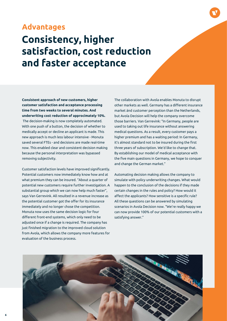#### **Advantages**

### **Consistency, higher satisfaction, cost reduction and faster acceptance**

**Consistent approach of new customers, higher customer satisfaction and acceptance processing time from two weeks to several minutes. And underwriting cost reduction of approcimately 10%.** The decision-making is now completely automated. With one push of a button, the decision of whether to medically accept or decline an applicant is made. This new approach is much less labour intensive - Monuta saved several FTEs - and decisions are made real-time now. This enabled clear and consistent decision making because the personal interpretation was bypassed removing subjectivity.

Customer satisfaction levels have improved significantly. Potential customers now immediately know how and at what premium they can be insured. "About a quarter of potential new customers require further investigation. A substantial group which we can now help much faster", says Van Gerrevink. All resulted in a revenue increase as the potential customer got the offer for its insurance immediately and no longer chose the competition. Monuta now uses the same decision logic for four different front-end systems, which only need to be adjusted once if a change is required. The company has just finished migration to the improved cloud solution from Avola, which allows the company more features for evaluation of the business process.

The collaboration with Avola enables Monuta to disrupt other markets as well. Germany has a different insurance market ánd customer perception than the Netherlands, but Avola Decision will help the company overcome those barriers. Van Gerrevink: "In Germany, people are used to taking out life insurance without answering medical questions. As a result, every customer pays a higher premium and has a waiting period: In Germany, it's almost standard not to be insured during the first three years of subscription. We'd like to change that. By establishing our model of medical acceptance with the five main questions in Germany, we hope to conquer and change the German market."

Automating decision making allows the company to simulate with policy underwriting changes. What would happen to the conclusion of the decisions if they made certain changes in the rules and policy? How would it affect the applicants? How sensitive is a specific rule? All these questions can be answered by simulating scenarios in Avola Decision now. "We're really happy we can now provide 100% of our potential customers with a satisfying answer."